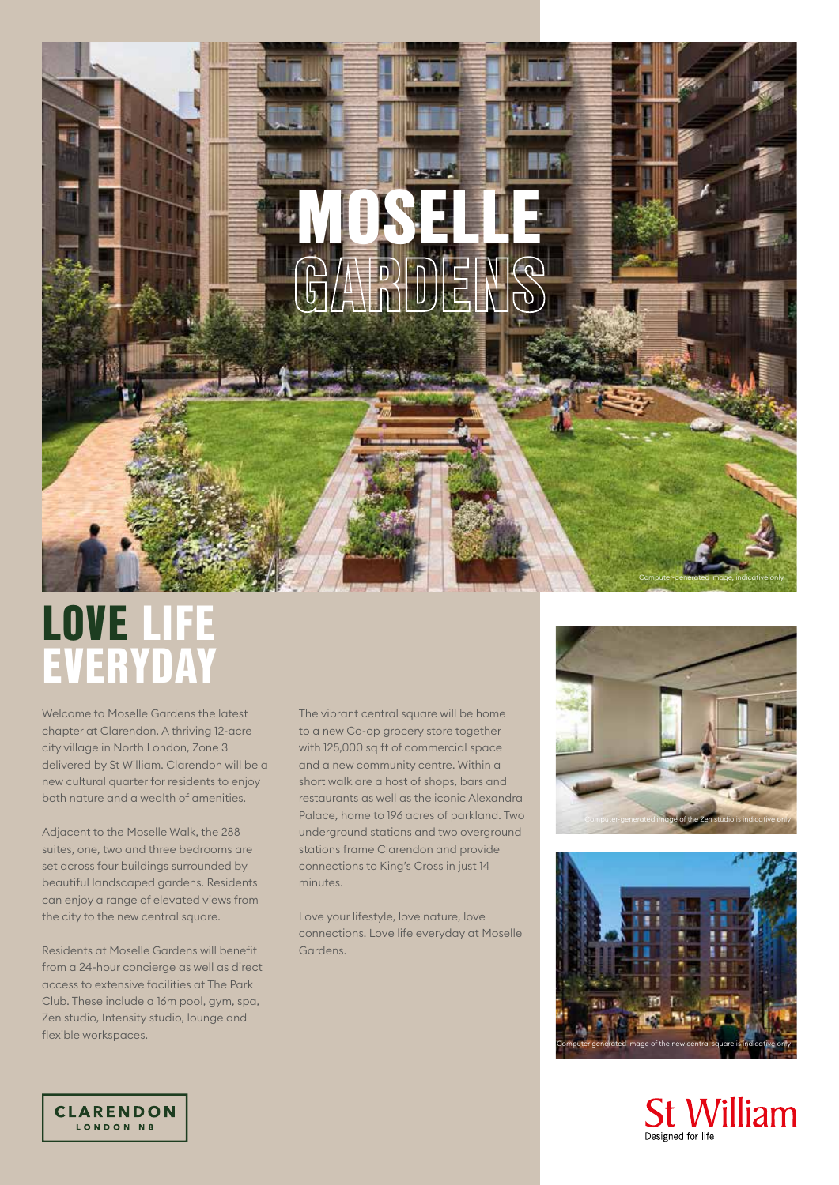# MOSELLE

# LOVE LIFE EVERYDAY

Welcome to Moselle Gardens the latest chapter at Clarendon. A thriving 12-acre city village in North London, Zone 3 delivered by St William. Clarendon will be a new cultural quarter for residents to enjoy both nature and a wealth of amenities.

Adjacent to the Moselle Walk, the 288 suites, one, two and three bedrooms are set across four buildings surrounded by beautiful landscaped gardens. Residents can enjoy a range of elevated views from the city to the new central square.

Residents at Moselle Gardens will benefit from a 24-hour concierge as well as direct access to extensive facilities at The Park Club. These include a 16m pool, gym, spa, Zen studio, Intensity studio, lounge and flexible workspaces.

The vibrant central square will be home to a new Co-op grocery store together with 125,000 sq ft of commercial space and a new community centre. Within a short walk are a host of shops, bars and restaurants as well as the iconic Alexandra Palace, home to 196 acres of parkland. Two underground stations and two overground stations frame Clarendon and provide connections to King's Cross in just 14 minutes.

Love your lifestyle, love nature, love connections. Love life everyday at Moselle Gardens.



Computer-generated image, indicative only





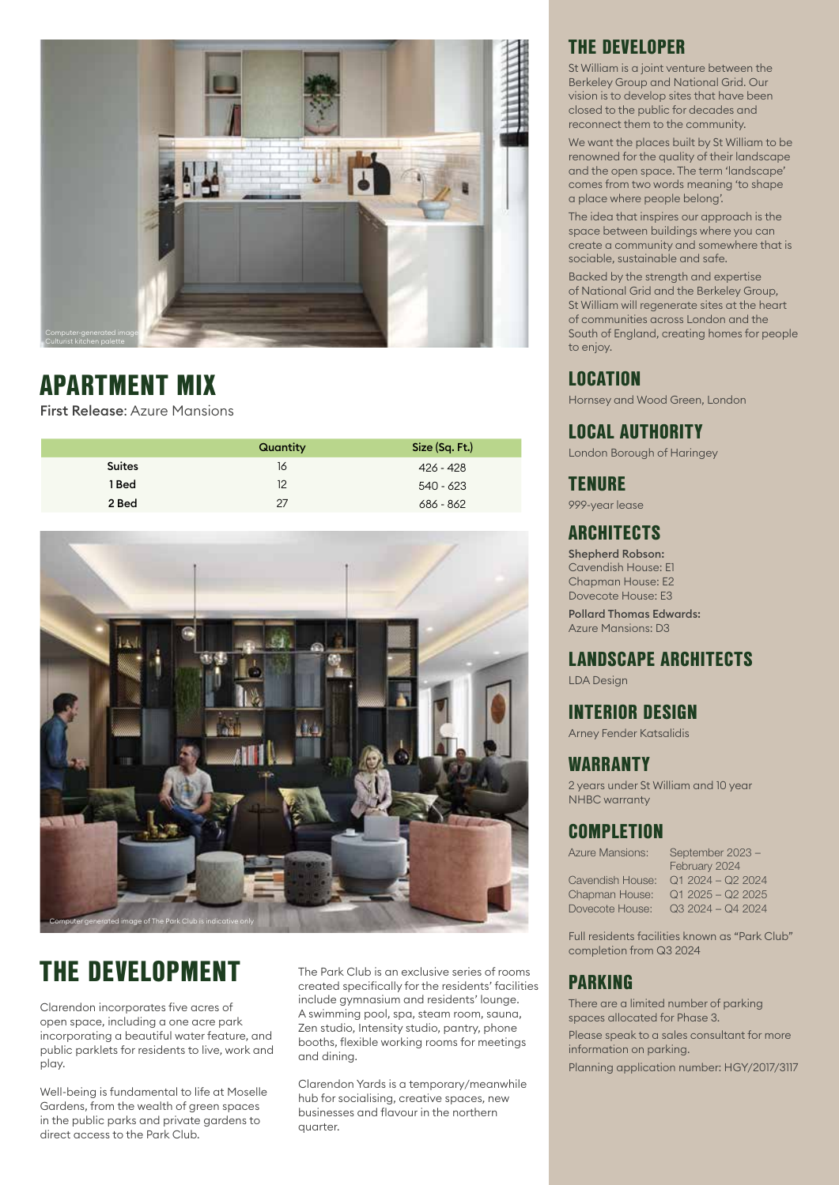

# APARTMENT MIX

First Release: Azure Mansions

|               | Quantity | Size (Sq. Ft.) |
|---------------|----------|----------------|
| <b>Suites</b> | 16       | 426 - 428      |
| 1 Bed         | 12       | 540 - 623      |
| 2 Bed         | 27       | 686 - 862      |



# THE DEVELOPMENT

Clarendon incorporates five acres of open space, including a one acre park incorporating a beautiful water feature, and public parklets for residents to live, work and play.

Well-being is fundamental to life at Moselle Gardens, from the wealth of green spaces in the public parks and private gardens to direct access to the Park Club.

The Park Club is an exclusive series of rooms created specifically for the residents' facilities include gymnasium and residents' lounge. A swimming pool, spa, steam room, sauna, Zen studio, Intensity studio, pantry, phone booths, flexible working rooms for meetings and dining.

Clarendon Yards is a temporary/meanwhile hub for socialising, creative spaces, new businesses and flavour in the northern quarter.

### THE DEVELOPER

St William is a joint venture between the Berkeley Group and National Grid. Our vision is to develop sites that have been closed to the public for decades and reconnect them to the community.

We want the places built by St William to be renowned for the quality of their landscape and the open space. The term 'landscape' comes from two words meaning 'to shape a place where people belong'.

The idea that inspires our approach is the space between buildings where you can create a community and somewhere that is sociable, sustainable and safe.

Backed by the strength and expertise of National Grid and the Berkeley Group, St William will regenerate sites at the heart of communities across London and the South of England, creating homes for people to enjoy.

### LOCATION

Hornsey and Wood Green, London

### LOCAL AUTHORITY

London Borough of Haringey

### **TENURE**

999-year lease

### **ARCHITECTS**

Shepherd Robson: Cavendish House: E1 Chapman House: E2 Dovecote House: E3

Pollard Thomas Edwards: Azure Mansions: D3

### LANDSCAPE ARCHITECTS

LDA Design

### INTERIOR DESIGN

Arney Fender Katsalidis

### WARRANTY

2 years under St William and 10 year NHBC warranty

### **COMPLETION**

Azure Mansions: September 2023 – February 2024 Cavendish House: Q1 2024 – Q2 2024 Chapman House: Q1 2025 – Q2 2025 Dovecote House: Q3 2024 – Q4 2024

Full residents facilities known as "Park Club" completion from Q3 2024

### PARKING

There are a limited number of parking spaces allocated for Phase 3.

Please speak to a sales consultant for more information on parking.

Planning application number: HGY/2017/3117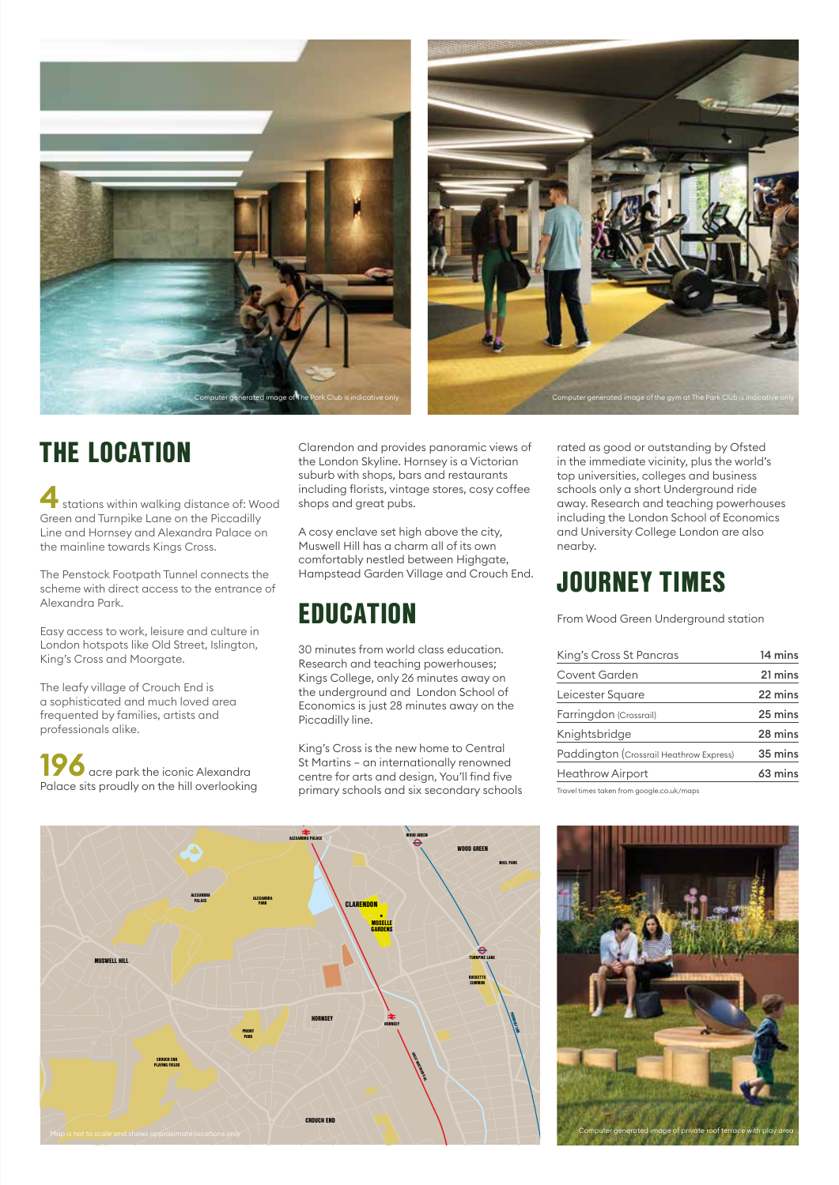



# THE LOCATION

**4** stations within walking distance of: Wood Green and Turnpike Lane on the Piccadilly Line and Hornsey and Alexandra Palace on the mainline towards Kings Cross.

The Penstock Footpath Tunnel connects the scheme with direct access to the entrance of Alexandra Park.

Easy access to work, leisure and culture in London hotspots like Old Street, Islington, King's Cross and Moorgate.

The leafy village of Crouch End is a sophisticated and much loved area frequented by families, artists and professionals alike.

**19** acre park the iconic Alexandra Palace sits proudly on the hill overlooking Clarendon and provides panoramic views of the London Skyline. Hornsey is a Victorian suburb with shops, bars and restaurants including florists, vintage stores, cosy coffee shops and great pubs.

A cosy enclave set high above the city, Muswell Hill has a charm all of its own comfortably nestled between Highgate, Hampstead Garden Village and Crouch End.

# EDUCATION

30 minutes from world class education. Research and teaching powerhouses; Kings College, only 26 minutes away on the underground and London School of Economics is just 28 minutes away on the Piccadilly line.

King's Cross is the new home to Central St Martins – an internationally renowned centre for arts and design, You'll find five primary schools and six secondary schools rated as good or outstanding by Ofsted in the immediate vicinity, plus the world's top universities, colleges and business schools only a short Underground ride away. Research and teaching powerhouses including the London School of Economics and University College London are also nearby.

## JOURNEY TIMES

From Wood Green Underground station

| King's Cross St Pancras                   | 14 mins |
|-------------------------------------------|---------|
| Covent Garden                             | 21 mins |
| Leicester Square                          | 22 mins |
| Farringdon (Crossrail)                    | 25 mins |
| Knightsbridge                             | 28 mins |
| Paddington (Crossrail Heathrow Express)   | 35 mins |
| <b>Heathrow Airport</b>                   | 63 mins |
| Travel times taken from google.co.uk/maps |         |